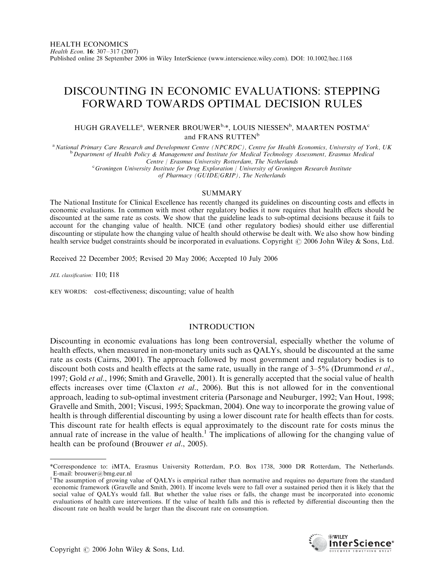# DISCOUNTING IN ECONOMIC EVALUATIONS: STEPPING FORWARD TOWARDS OPTIMAL DECISION RULES

## ${\rm HUGH}$  GRAVELLE $\rm^a,$  WERNER BROUWER $^{\rm b, *}$ , LOUIS NIESSEN $^{\rm b}$ , MAARTEN POSTMA $^{\rm c}$ and FRANS RUTTEN<sup>b</sup>

<sup>a</sup> National Primary Care Research and Development Centre (NPCRDC), Centre for Health Economics, University of York, UK bDepartment of Health Policy & Management and Institute for Medical Technology Assessment, Erasmus Me

Centre / Erasmus University Rotterdam, The Netherlands<br>Groningen University Institute for Drug Exploration / University of Groningen Research Institute<sup>c</sup> of Pharmacy (GUIDE/GRIP), The Netherlands

#### SUMMARY

The National Institute for Clinical Excellence has recently changed its guidelines on discounting costs and effects in economic evaluations. In common with most other regulatory bodies it now requires that health effects should be discounted at the same rate as costs. We show that the guideline leads to sub-optimal decisions because it fails to account for the changing value of health. NICE (and other regulatory bodies) should either use differential discounting or stipulate how the changing value of health should otherwise be dealt with. We also show how binding health service budget constraints should be incorporated in evaluations. Copyright  $\odot$  2006 John Wiley & Sons, Ltd.

Received 22 December 2005; Revised 20 May 2006; Accepted 10 July 2006

JEL classification: I10; I18

KEY WORDS: cost-effectiveness; discounting; value of health

## INTRODUCTION

Discounting in economic evaluations has long been controversial, especially whether the volume of health effects, when measured in non-monetary units such as QALYs, should be discounted at the same rate as costs (Cairns, 2001). The approach followed by most government and regulatory bodies is to discount both costs and health effects at the same rate, usually in the range of  $3-5%$  (Drummond *et al.*, 1997; Gold et al., 1996; Smith and Gravelle, 2001). It is generally accepted that the social value of health effects increases over time (Claxton et al., 2006). But this is not allowed for in the conventional approach, leading to sub-optimal investment criteria (Parsonage and Neuburger, 1992; Van Hout, 1998; Gravelle and Smith, 2001; Viscusi, 1995; Spackman, 2004). One way to incorporate the growing value of health is through differential discounting by using a lower discount rate for health effects than for costs. This discount rate for health effects is equal approximately to the discount rate for costs minus the annual rate of increase in the value of health.<sup>1</sup> The implications of allowing for the changing value of health can be profound (Brouwer *et al.*, 2005).

<sup>&</sup>lt;sup>1</sup>The assumption of growing value of QALYs is empirical rather than normative and requires no departure from the standard economic framework (Gravelle and Smith, 2001). If income levels were to fall over a sustained period then it is likely that the social value of QALYs would fall. But whether the value rises or falls, the change must be incorporated into economic evaluations of health care interventions. If the value of health falls and this is reflected by differential discounting then the discount rate on health would be larger than the discount rate on consumption.



<sup>\*</sup>Correspondence to: iMTA, Erasmus University Rotterdam, P.O. Box 1738, 3000 DR Rotterdam, The Netherlands. E-mail: brouwer@bmg.eur.nl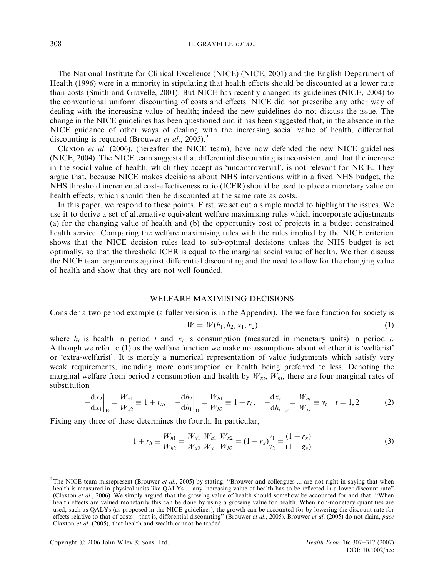# 308 H. GRAVELLE ET AL.

The National Institute for Clinical Excellence (NICE) (NICE, 2001) and the English Department of Health (1996) were in a minority in stipulating that health effects should be discounted at a lower rate than costs (Smith and Gravelle, 2001). But NICE has recently changed its guidelines (NICE, 2004) to the conventional uniform discounting of costs and effects. NICE did not prescribe any other way of dealing with the increasing value of health; indeed the new guidelines do not discuss the issue. The change in the NICE guidelines has been questioned and it has been suggested that, in the absence in the NICE guidance of other ways of dealing with the increasing social value of health, differential discounting is required (Brouwer *et al.*, 2005).<sup>2</sup>

Claxton et al. (2006), (hereafter the NICE team), have now defended the new NICE guidelines (NICE, 2004). The NICE team suggests that differential discounting is inconsistent and that the increase in the social value of health, which they accept as 'uncontroversial', is not relevant for NICE. They argue that, because NICE makes decisions about NHS interventions within a fixed NHS budget, the NHS threshold incremental cost-effectiveness ratio (ICER) should be used to place a monetary value on health effects, which should then be discounted at the same rate as costs.

In this paper, we respond to these points. First, we set out a simple model to highlight the issues. We use it to derive a set of alternative equivalent welfare maximising rules which incorporate adjustments (a) for the changing value of health and (b) the opportunity cost of projects in a budget constrained health service. Comparing the welfare maximising rules with the rules implied by the NICE criterion shows that the NICE decision rules lead to sub-optimal decisions unless the NHS budget is set optimally, so that the threshold ICER is equal to the marginal social value of health. We then discuss the NICE team arguments against differential discounting and the need to allow for the changing value of health and show that they are not well founded.

## WELFARE MAXIMISING DECISIONS

Consider a two period example (a fuller version is in the Appendix). The welfare function for society is

$$
W = W(h_1, h_2, x_1, x_2) \tag{1}
$$

where  $h_t$  is health in period t and  $x_t$  is consumption (measured in monetary units) in period t. Although we refer to (1) as the welfare function we make no assumptions about whether it is 'welfarist' or 'extra-welfarist'. It is merely a numerical representation of value judgements which satisfy very weak requirements, including more consumption or health being preferred to less. Denoting the marginal welfare from period t consumption and health by  $W_{xt}$ ,  $W_{ht}$ , there are four marginal rates of substitution

$$
\left. -\frac{dx_2}{dx_1} \right|_W = \frac{W_{x1}}{W_{x2}} \equiv 1 + r_x, \quad \left. -\frac{dh_2}{dh_1} \right|_W = \frac{W_{h1}}{W_{h2}} \equiv 1 + r_h, \quad \left. -\frac{dx_t}{dh_t} \right|_W = \frac{W_{ht}}{W_{xt}} \equiv v_t \quad t = 1, 2 \tag{2}
$$

Fixing any three of these determines the fourth. In particular,

$$
1 + r_h \equiv \frac{W_{h1}}{W_{h2}} = \frac{W_{x1}}{W_{x2}} \frac{W_{h1}}{W_{x1}} \frac{W_{x2}}{W_{h2}} = (1 + r_x) \frac{v_1}{v_2} = \frac{(1 + r_x)}{(1 + g_y)}
$$
(3)

<sup>&</sup>lt;sup>2</sup>The NICE team misrepresent (Brouwer *et al.*, 2005) by stating: "Brouwer and colleagues ... are not right in saying that when health is measured in physical units like QALYs ... any increasing value of health has to be reflected in a lower discount rate'' (Claxton et al., 2006). We simply argued that the growing value of health should somehow be accounted for and that: "When health effects are valued monetarily this can be done by using a growing value for health. When non-monetary quantities are used, such as QALYs (as proposed in the NICE guidelines), the growth can be accounted for by lowering the discount rate for effects relative to that of costs – that is, differential discounting" (Brouwer et al., 2005). Brouwer et al. (2005) do not claim, pace Claxton et al. (2005), that health and wealth cannot be traded.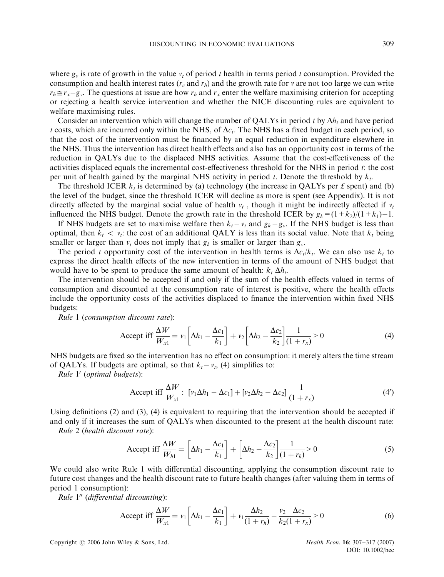where  $g_y$  is rate of growth in the value  $v_t$  of period t health in terms period t consumption. Provided the consumption and health interest rates ( $r_c$  and  $r_h$ ) and the growth rate for v are not too large we can write  $r_h \approx r_x - g_y$ . The questions at issue are how  $r_h$  and  $r_x$  enter the welfare maximising criterion for accepting or rejecting a health service intervention and whether the NICE discounting rules are equivalent to welfare maximising rules.

Consider an intervention which will change the number of QALYs in period t by  $\Delta h_t$  and have period t costs, which are incurred only within the NHS, of  $\Delta c_t$ . The NHS has a fixed budget in each period, so that the cost of the intervention must be financed by an equal reduction in expenditure elsewhere in the NHS. Thus the intervention has direct health effects and also has an opportunity cost in terms of the reduction in QALYs due to the displaced NHS activities. Assume that the cost-effectiveness of the activities displaced equals the incremental cost-effectiveness threshold for the NHS in period t: the cost per unit of health gained by the marginal NHS activity in period t. Denote the threshold by  $k_t$ .

The threshold ICER  $k_t$  is determined by (a) technology (the increase in QALYs per  $\pounds$  spent) and (b) the level of the budget, since the threshold ICER will decline as more is spent (see Appendix). It is not directly affected by the marginal social value of health  $v_t$ , though it might be indirectly affected if  $v_t$ influenced the NHS budget. Denote the growth rate in the threshold ICER by  $g_k = (1+k_2)/(1+k_1)-1$ .

If NHS budgets are set to maximise welfare then  $k_t = v_t$  and  $g_k = g_v$ . If the NHS budget is less than optimal, then  $k_t < v_t$ : the cost of an additional QALY is less than its social value. Note that  $k_t$  being smaller or larger than  $v_t$  does not imply that  $g_k$  is smaller or larger than  $g_v$ .

The period t opportunity cost of the intervention in health terms is  $\Delta c_t/k_t$ . We can also use  $k_t$  to express the direct health effects of the new intervention in terms of the amount of NHS budget that would have to be spent to produce the same amount of health:  $k_t \Delta h_t$ .

The intervention should be accepted if and only if the sum of the health effects valued in terms of consumption and discounted at the consumption rate of interest is positive, where the health effects include the opportunity costs of the activities displaced to finance the intervention within fixed NHS budgets:

Rule 1 (consumption discount rate):

Accept iff 
$$
\frac{\Delta W}{W_{x1}} = v_1 \left[ \Delta h_1 - \frac{\Delta c_1}{k_1} \right] + v_2 \left[ \Delta h_2 - \frac{\Delta c_2}{k_2} \right] \frac{1}{(1 + r_x)} > 0
$$
 (4)

NHS budgets are fixed so the intervention has no effect on consumption: it merely alters the time stream of QALYs. If budgets are optimal, so that  $k_t = v_t$ , (4) simplifies to:

 $Rule 1' (optimal budgets):$ 

Accept iff 
$$
\frac{\Delta W}{W_{x1}}
$$
:  $[v_1 \Delta h_1 - \Delta c_1] + [v_2 \Delta h_2 - \Delta c_2] \frac{1}{(1 + r_x)}$  (4')

Using definitions (2) and (3), (4) is equivalent to requiring that the intervention should be accepted if and only if it increases the sum of QALYs when discounted to the present at the health discount rate:

Rule 2 (health discount rate):

Accept iff 
$$
\frac{\Delta W}{W_{h1}} = \left[\Delta h_1 - \frac{\Delta c_1}{k_1}\right] + \left[\Delta h_2 - \frac{\Delta c_2}{k_2}\right] \frac{1}{(1 + r_h)} > 0
$$
 (5)

We could also write Rule 1 with differential discounting, applying the consumption discount rate to future cost changes and the health discount rate to future health changes (after valuing them in terms of period 1 consumption):

Rule  $1''$  (differential discounting):

Accept iff 
$$
\frac{\Delta W}{W_{x1}} = v_1 \left[ \Delta h_1 - \frac{\Delta c_1}{k_1} \right] + v_1 \frac{\Delta h_2}{(1 + r_h)} - \frac{v_2}{k_2 (1 + r_x)} > 0
$$
 (6)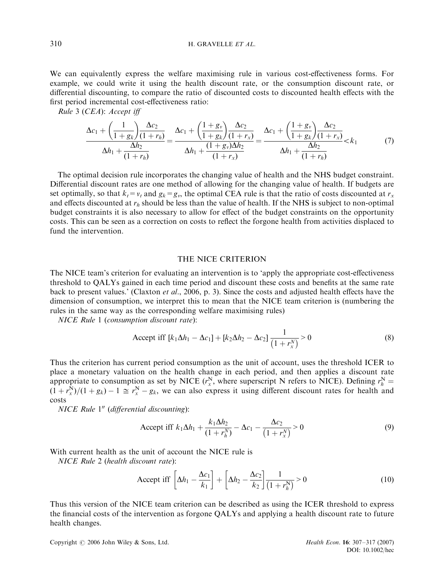#### 310 H. GRAVELLE ET AL.

We can equivalently express the welfare maximising rule in various cost-effectiveness forms. For example, we could write it using the health discount rate, or the consumption discount rate, or differential discounting, to compare the ratio of discounted costs to discounted health effects with the first period incremental cost-effectiveness ratio:

Rule 3 (CEA): Accept iff

$$
\frac{\Delta c_1 + \left(\frac{1}{1+g_k}\right) \frac{\Delta c_2}{(1+r_h)}}{\Delta h_1 + \frac{\Delta h_2}{(1+r_h)}} = \frac{\Delta c_1 + \left(\frac{1+g_v}{1+g_k}\right) \frac{\Delta c_2}{(1+r_x)}}{\Delta h_1 + \frac{(1+g_v)\Delta h_2}{(1+r_x)}} = \frac{\Delta c_1 + \left(\frac{1+g_v}{1+g_k}\right) \frac{\Delta c_2}{(1+r_x)}}{\Delta h_1 + \frac{\Delta h_2}{(1+r_h)}} < k_1
$$
\n(7)

The optimal decision rule incorporates the changing value of health and the NHS budget constraint. Differential discount rates are one method of allowing for the changing value of health. If budgets are set optimally, so that  $k_t = v_t$  and  $g_k = g_v$ , the optimal CEA rule is that the ratio of costs discounted at  $r_x$ and effects discounted at  $r<sub>h</sub>$  should be less than the value of health. If the NHS is subject to non-optimal budget constraints it is also necessary to allow for effect of the budget constraints on the opportunity costs. This can be seen as a correction on costs to reflect the forgone health from activities displaced to fund the intervention.

#### THE NICE CRITERION

The NICE team's criterion for evaluating an intervention is to 'apply the appropriate cost-effectiveness threshold to QALYs gained in each time period and discount these costs and benefits at the same rate back to present values.' (Claxton *et al.*, 2006, p. 3). Since the costs and adjusted health effects have the dimension of consumption, we interpret this to mean that the NICE team criterion is (numbering the rules in the same way as the corresponding welfare maximising rules)

NICE Rule 1 (consumption discount rate):

Accept iff 
$$
[k_1 \Delta h_1 - \Delta c_1] + [k_2 \Delta h_2 - \Delta c_2] \frac{1}{(1 + r_x^N)} > 0
$$
 (8)

Thus the criterion has current period consumption as the unit of account, uses the threshold ICER to place a monetary valuation on the health change in each period, and then applies a discount rate appropriate to consumption as set by NICE  $(r_x^N)$ , where superscript N refers to NICE). Defining  $r_h^N =$  $(1 + r_x^N)/(1 + g_k) - 1 \cong r_x^N - g_k$ , we can also express it using different discount rates for health and costs

 $NICE$  Rule  $1''$  (differential discounting):

Accept iff 
$$
k_1 \Delta h_1 + \frac{k_1 \Delta h_2}{(1 + r_h^N)} - \Delta c_1 - \frac{\Delta c_2}{(1 + r_x^N)} > 0
$$
 (9)

With current health as the unit of account the NICE rule is

NICE Rule 2 (health discount rate):

Accept iff 
$$
\left[\Delta h_1 - \frac{\Delta c_1}{k_1}\right] + \left[\Delta h_2 - \frac{\Delta c_2}{k_2}\right] \frac{1}{\left(1 + r_h^N\right)} > 0
$$
 (10)

Thus this version of the NICE team criterion can be described as using the ICER threshold to express the financial costs of the intervention as forgone QALYs and applying a health discount rate to future health changes.

Copyright  $\odot$  2006 John Wiley & Sons, Ltd. Health Econ. 16: 307–317 (2007)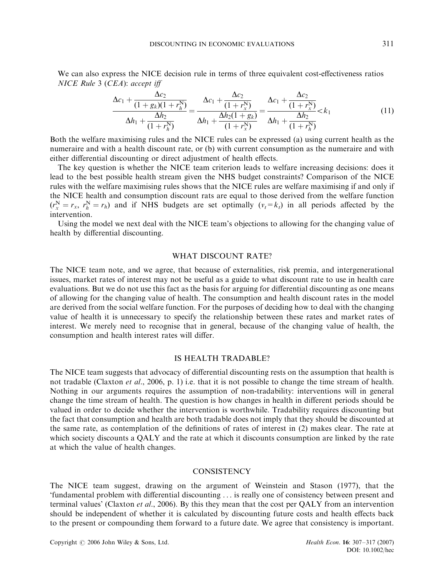We can also express the NICE decision rule in terms of three equivalent cost-effectiveness ratios NICE Rule 3 (CEA): accept iff

$$
\frac{\Delta c_1 + \frac{\Delta c_2}{(1 + g_k)(1 + r_h^N)}}{\Delta h_1 + \frac{\Delta h_2}{(1 + r_h^N)}} = \frac{\Delta c_1 + \frac{\Delta c_2}{(1 + r_x^N)}}{\Delta h_1 + \frac{\Delta h_2(1 + g_k)}{(1 + r_x^N)}} = \frac{\Delta c_1 + \frac{\Delta c_2}{(1 + r_x^N)}}{\Delta h_1 + \frac{\Delta h_2}{(1 + r_h^N)}} < k_1 \tag{11}
$$

Both the welfare maximising rules and the NICE rules can be expressed (a) using current health as the numeraire and with a health discount rate, or (b) with current consumption as the numeraire and with either differential discounting or direct adjustment of health effects.

The key question is whether the NICE team criterion leads to welfare increasing decisions: does it lead to the best possible health stream given the NHS budget constraints? Comparison of the NICE rules with the welfare maximising rules shows that the NICE rules are welfare maximising if and only if the NICE health and consumption discount rats are equal to those derived from the welfare function  $(r_x^N = r_x, r_h^N = r_h)$  and if NHS budgets are set optimally  $(v_t = k_t)$  in all periods affected by the intervention.

Using the model we next deal with the NICE team's objections to allowing for the changing value of health by differential discounting.

## WHAT DISCOUNT RATE?

The NICE team note, and we agree, that because of externalities, risk premia, and intergenerational issues, market rates of interest may not be useful as a guide to what discount rate to use in health care evaluations. But we do not use this fact as the basis for arguing for differential discounting as one means of allowing for the changing value of health. The consumption and health discount rates in the model are derived from the social welfare function. For the purposes of deciding how to deal with the changing value of health it is unnecessary to specify the relationship between these rates and market rates of interest. We merely need to recognise that in general, because of the changing value of health, the consumption and health interest rates will differ.

## IS HEALTH TRADABLE?

The NICE team suggests that advocacy of differential discounting rests on the assumption that health is not tradable (Claxton *et al.*, 2006, p. 1) i.e. that it is not possible to change the time stream of health. Nothing in our arguments requires the assumption of non-tradability: interventions will in general change the time stream of health. The question is how changes in health in different periods should be valued in order to decide whether the intervention is worthwhile. Tradability requires discounting but the fact that consumption and health are both tradable does not imply that they should be discounted at the same rate, as contemplation of the definitions of rates of interest in (2) makes clear. The rate at which society discounts a QALY and the rate at which it discounts consumption are linked by the rate at which the value of health changes.

## **CONSISTENCY**

The NICE team suggest, drawing on the argument of Weinstein and Stason (1977), that the 'fundamental problem with differential discounting ... is really one of consistency between present and terminal values' (Claxton *et al.*, 2006). By this they mean that the cost per  $QALY$  from an intervention should be independent of whether it is calculated by discounting future costs and health effects back to the present or compounding them forward to a future date. We agree that consistency is important.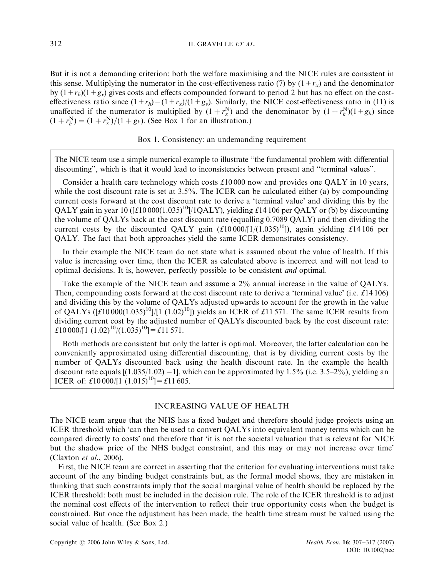But it is not a demanding criterion: both the welfare maximising and the NICE rules are consistent in this sense. Multiplying the numerator in the cost-effectiveness ratio (7) by  $(1+r<sub>x</sub>)$  and the denominator by  $(1+r_h)(1+g_v)$  gives costs and effects compounded forward to period 2 but has no effect on the costeffectiveness ratio since  $(1+r_h)=(1+r_x)/(1+g_y)$ . Similarly, the NICE cost-effectiveness ratio in (11) is unaffected if the numerator is multiplied by  $(1 + r_x^N)$  and the denominator by  $(1 + r_h^N)(1 + g_k)$  since  $(1 + r_h^N) = (1 + r_x^N)/(1 + g_k)$ . (See Box 1 for an illustration.)

Box 1. Consistency: an undemanding requirement

The NICE team use a simple numerical example to illustrate ''the fundamental problem with differential discounting'', which is that it would lead to inconsistencies between present and ''terminal values''.

Consider a health care technology which costs  $\pounds 10\,000$  now and provides one QALY in 10 years, while the cost discount rate is set at 3.5%. The ICER can be calculated either (a) by compounding current costs forward at the cost discount rate to derive a 'terminal value' and dividing this by the QALY gain in year 10 ( $[£10000(1.035)^{10}]/1QALY$ ), yielding £14 106 per QALY or (b) by discounting the volume of QALYs back at the cost discount rate (equalling 0.7089 QALY) and then dividing the current costs by the discounted QALY gain  $(\text{\textsterling}10\,000/[1/(1.035)^{10}])$ , again yielding £14 106 per QALY. The fact that both approaches yield the same ICER demonstrates consistency.

In their example the NICE team do not state what is assumed about the value of health. If this value is increasing over time, then the ICER as calculated above is incorrect and will not lead to optimal decisions. It is, however, perfectly possible to be consistent and optimal.

Take the example of the NICE team and assume a 2% annual increase in the value of QALYs. Then, compounding costs forward at the cost discount rate to derive a 'terminal value' (i.e. £14 106) and dividing this by the volume of QALYs adjusted upwards to account for the growth in the value of QALYs  $([t10 000(1.035)^{10}]/[1 (1.02)^{10}]$ ) yields an ICER of £11 571. The same ICER results from dividing current cost by the adjusted number of QALYs discounted back by the cost discount rate: £10 000/[1  $(1.02)^{10}/(1.035)^{10}$ ] = £11 571.

Both methods are consistent but only the latter is optimal. Moreover, the latter calculation can be conveniently approximated using differential discounting, that is by dividing current costs by the number of QALYs discounted back using the health discount rate. In the example the health discount rate equals  $[(1.035/1.02) -1]$ , which can be approximated by 1.5% (i.e. 3.5–2%), yielding an ICER of: £10 000/[1  $(1.015)^{10}$ ] = £11 605.

## INCREASING VALUE OF HEALTH

The NICE team argue that the NHS has a fixed budget and therefore should judge projects using an ICER threshold which 'can then be used to convert QALYs into equivalent money terms which can be compared directly to costs' and therefore that 'it is not the societal valuation that is relevant for NICE but the shadow price of the NHS budget constraint, and this may or may not increase over time' (Claxton et al., 2006).

First, the NICE team are correct in asserting that the criterion for evaluating interventions must take account of the any binding budget constraints but, as the formal model shows, they are mistaken in thinking that such constraints imply that the social marginal value of health should be replaced by the ICER threshold: both must be included in the decision rule. The role of the ICER threshold is to adjust the nominal cost effects of the intervention to reflect their true opportunity costs when the budget is constrained. But once the adjustment has been made, the health time stream must be valued using the social value of health. (See Box 2.)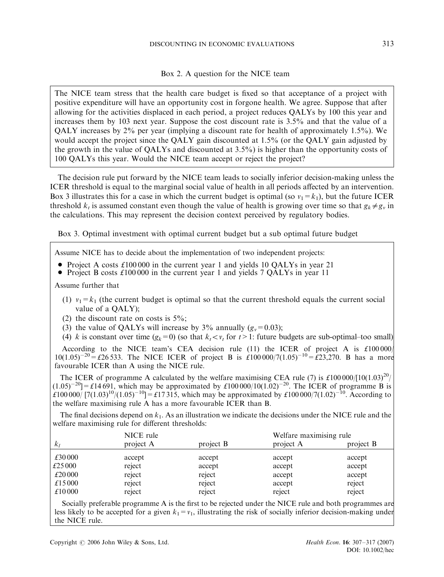## Box 2. A question for the NICE team

The NICE team stress that the health care budget is fixed so that acceptance of a project with positive expenditure will have an opportunity cost in forgone health. We agree. Suppose that after allowing for the activities displaced in each period, a project reduces QALYs by 100 this year and increases them by 103 next year. Suppose the cost discount rate is 3.5% and that the value of a QALY increases by 2% per year (implying a discount rate for health of approximately 1.5%). We would accept the project since the QALY gain discounted at 1.5% (or the QALY gain adjusted by the growth in the value of QALYs and discounted at 3.5%) is higher than the opportunity costs of 100 QALYs this year. Would the NICE team accept or reject the project?

The decision rule put forward by the NICE team leads to socially inferior decision-making unless the ICER threshold is equal to the marginal social value of health in all periods affected by an intervention. Box 3 illustrates this for a case in which the current budget is optimal (so  $v_1 = k_1$ ), but the future ICER threshold  $k_t$  is assumed constant even though the value of health is growing over time so that  $g_k \neq g_y$  in the calculations. This may represent the decision context perceived by regulatory bodies.

Box 3. Optimal investment with optimal current budget but a sub optimal future budget

Assume NICE has to decide about the implementation of two independent projects:

- Project A costs £100 000 in the current year 1 and yields 10 QALYs in year 21
- Project B costs  $\pounds 100 000$  in the current year 1 and yields 7 QALYs in year 11

Assume further that

- (1)  $v_1 = k_1$  (the current budget is optimal so that the current threshold equals the current social value of a QALY);
- (2) the discount rate on costs is  $5\%$ ;
- (3) the value of QALYs will increase by 3% annually  $(g_y=0.03)$ ;
- (4) k is constant over time  $(g_k=0)$  (so that  $k_t < v_t$  for  $t > 1$ : future budgets are sub-optimal–too small)

According to the NICE team's CEA decision rule (11) the ICER of project A is  $\pounds 100\,000$  $10(1.05)^{-20} = \text{\textsterling}26\,533$ . The NICE ICER of project B is  $\text{\textsterling}100\,000/7(1.05)^{-10} = \text{\textsterling}23,270$ . B has a more favourable ICER than A using the NICE rule.

The ICER of programme A calculated by the welfare maximising CEA rule (7) is £100 000/[10(1.03)<sup>20</sup>/  $(1.05)^{-20}$ ] = £14 691, which may be approximated by £100 000/10(1.02)<sup>-20</sup>. The ICER of programme B is £100 000/ [7(1.03)<sup>10</sup>/(1.05)<sup>-10</sup>] = £17 315, which may be approximated by £100 000/7(1.02)<sup>-10</sup>. According to the welfare maximising rule A has a more favourable ICER than B.

The final decisions depend on  $k_1$ . As an illustration we indicate the decisions under the NICE rule and the welfare maximising rule for different thresholds:

|                | NICE rule |           | Welfare maximising rule |           |
|----------------|-----------|-----------|-------------------------|-----------|
| k <sub>i</sub> | project A | project B | project A               | project B |
| £30 000        | accept    | accept    | accept                  | accept    |
| £25 000        | reject    | accept    | accept                  | accept    |
| £20 000        | reject    | reject    | accept                  | accept    |
| £15000         | reject    | reject    | accept                  | reject    |
| £10000         | reject    | reject    | reject                  | reject    |

Socially preferable programme A is the first to be rejected under the NICE rule and both programmes are less likely to be accepted for a given  $k_1 = v_1$ , illustrating the risk of socially inferior decision-making under the NICE rule.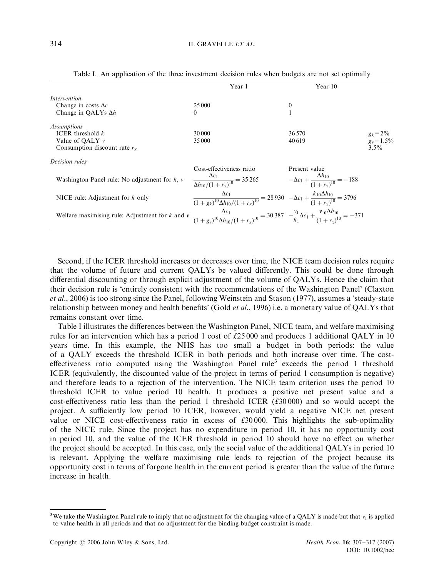|                                                                                                                                                                                                    | Year 1                                                                                                                                  | Year 10       |               |
|----------------------------------------------------------------------------------------------------------------------------------------------------------------------------------------------------|-----------------------------------------------------------------------------------------------------------------------------------------|---------------|---------------|
| Intervention                                                                                                                                                                                       |                                                                                                                                         |               |               |
| Change in costs $\Delta c$                                                                                                                                                                         | 25000                                                                                                                                   | $\mathbf{0}$  |               |
| Change in OALYs $\Delta h$                                                                                                                                                                         | $\theta$                                                                                                                                |               |               |
| <i>Assumptions</i>                                                                                                                                                                                 |                                                                                                                                         |               |               |
| ICER threshold $k$                                                                                                                                                                                 | 30 000                                                                                                                                  | 36.570        | $g_k = 2\%$   |
| Value of OALY $\nu$                                                                                                                                                                                | 35000                                                                                                                                   | 40619         | $g_v = 1.5\%$ |
| Consumption discount rate $r_r$                                                                                                                                                                    |                                                                                                                                         |               | $3.5\%$       |
| <i>Decision rules</i>                                                                                                                                                                              |                                                                                                                                         |               |               |
|                                                                                                                                                                                                    | Cost-effectiveness ratio                                                                                                                | Present value |               |
| Washington Panel rule: No adjustment for $k, v$                                                                                                                                                    | $\frac{\Delta c_1}{\Delta h_{10}/(1+r_x)^{10}} = 35\,265$ $-\Delta c_1 + \frac{\Delta h_{10}}{(1+r_x)^{10}} = -188$                     |               |               |
| NICE rule: Adjustment for $k$ only                                                                                                                                                                 | $\frac{\Delta c_1}{(1+g_k)^{10}\Delta h_{10}/(1+r_v)^{10}} = 28930 \quad -\Delta c_1 + \frac{k_{10}\Delta h_{10}}{(1+r_v)^{10}} = 3796$ |               |               |
| Welfare maximising rule: Adjustment for k and v $\frac{\Delta c_1}{(1+g_v)^{10}\Delta h_{10}/(1+r_v)^{10}} = 30.387 - \frac{v_1}{k_1}\Delta c_1 + \frac{v_{10}\Delta h_{10}}{(1+r_v)^{10}} = -371$ |                                                                                                                                         |               |               |

Table I. An application of the three investment decision rules when budgets are not set optimally

Second, if the ICER threshold increases or decreases over time, the NICE team decision rules require that the volume of future and current QALYs be valued differently. This could be done through differential discounting or through explicit adjustment of the volume of QALYs. Hence the claim that their decision rule is 'entirely consistent with the recommendations of the Washington Panel' (Claxton et al., 2006) is too strong since the Panel, following Weinstein and Stason (1977), assumes a 'steady-state relationship between money and health benefits' (Gold *et al.*, 1996) i.e. a monetary value of QALYs that remains constant over time.

Table I illustrates the differences between the Washington Panel, NICE team, and welfare maximising rules for an intervention which has a period 1 cost of  $\text{\pounds}25\,000$  and produces 1 additional QALY in 10 years time. In this example, the NHS has too small a budget in both periods: the value of a QALY exceeds the threshold ICER in both periods and both increase over time. The costeffectiveness ratio computed using the Washington Panel rule<sup>3</sup> exceeds the period 1 threshold ICER (equivalently, the discounted value of the project in terms of period 1 consumption is negative) and therefore leads to a rejection of the intervention. The NICE team criterion uses the period 10 threshold ICER to value period 10 health. It produces a positive net present value and a cost-effectiveness ratio less than the period 1 threshold ICER  $(£30000)$  and so would accept the project. A sufficiently low period 10 ICER, however, would yield a negative NICE net present value or NICE cost-effectiveness ratio in excess of  $\pounds 30000$ . This highlights the sub-optimality of the NICE rule. Since the project has no expenditure in period 10, it has no opportunity cost in period 10, and the value of the ICER threshold in period 10 should have no effect on whether the project should be accepted. In this case, only the social value of the additional QALYs in period 10 is relevant. Applying the welfare maximising rule leads to rejection of the project because its opportunity cost in terms of forgone health in the current period is greater than the value of the future increase in health.

<sup>&</sup>lt;sup>3</sup>We take the Washington Panel rule to imply that no adjustment for the changing value of a QALY is made but that  $v_1$  is applied to value health in all periods and that no adjustment for the binding budget constraint is made.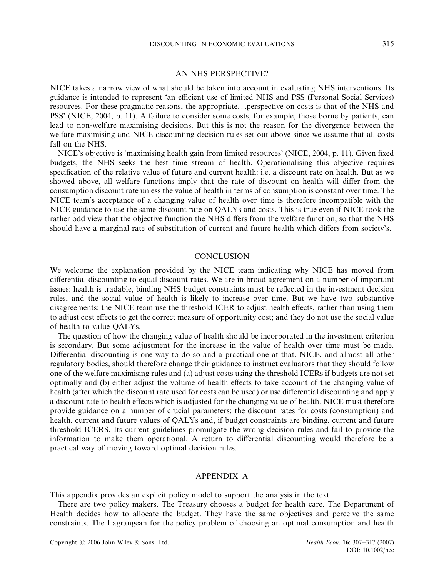# AN NHS PERSPECTIVE?

NICE takes a narrow view of what should be taken into account in evaluating NHS interventions. Its guidance is intended to represent 'an efficient use of limited NHS and PSS (Personal Social Services) resources. For these pragmatic reasons, the appropriate...perspective on costs is that of the NHS and PSS' (NICE, 2004, p. 11). A failure to consider some costs, for example, those borne by patients, can lead to non-welfare maximising decisions. But this is not the reason for the divergence between the welfare maximising and NICE discounting decision rules set out above since we assume that all costs fall on the NHS.

NICE's objective is 'maximising health gain from limited resources' (NICE, 2004, p. 11). Given fixed budgets, the NHS seeks the best time stream of health. Operationalising this objective requires specification of the relative value of future and current health: i.e. a discount rate on health. But as we showed above, all welfare functions imply that the rate of discount on health will differ from the consumption discount rate unless the value of health in terms of consumption is constant over time. The NICE team's acceptance of a changing value of health over time is therefore incompatible with the NICE guidance to use the same discount rate on QALYs and costs. This is true even if NICE took the rather odd view that the objective function the NHS differs from the welfare function, so that the NHS should have a marginal rate of substitution of current and future health which differs from society's.

## **CONCLUSION**

We welcome the explanation provided by the NICE team indicating why NICE has moved from differential discounting to equal discount rates. We are in broad agreement on a number of important issues: health is tradable, binding NHS budget constraints must be reflected in the investment decision rules, and the social value of health is likely to increase over time. But we have two substantive disagreements: the NICE team use the threshold ICER to adjust health effects, rather than using them to adjust cost effects to get the correct measure of opportunity cost; and they do not use the social value of health to value QALYs.

The question of how the changing value of health should be incorporated in the investment criterion is secondary. But some adjustment for the increase in the value of health over time must be made. Differential discounting is one way to do so and a practical one at that. NICE, and almost all other regulatory bodies, should therefore change their guidance to instruct evaluators that they should follow one of the welfare maximising rules and (a) adjust costs using the threshold ICERs if budgets are not set optimally and (b) either adjust the volume of health effects to take account of the changing value of health (after which the discount rate used for costs can be used) or use differential discounting and apply a discount rate to health effects which is adjusted for the changing value of health. NICE must therefore provide guidance on a number of crucial parameters: the discount rates for costs (consumption) and health, current and future values of QALYs and, if budget constraints are binding, current and future threshold ICERS. Its current guidelines promulgate the wrong decision rules and fail to provide the information to make them operational. A return to differential discounting would therefore be a practical way of moving toward optimal decision rules.

## APPENDIX A

This appendix provides an explicit policy model to support the analysis in the text.

There are two policy makers. The Treasury chooses a budget for health care. The Department of Health decides how to allocate the budget. They have the same objectives and perceive the same constraints. The Lagrangean for the policy problem of choosing an optimal consumption and health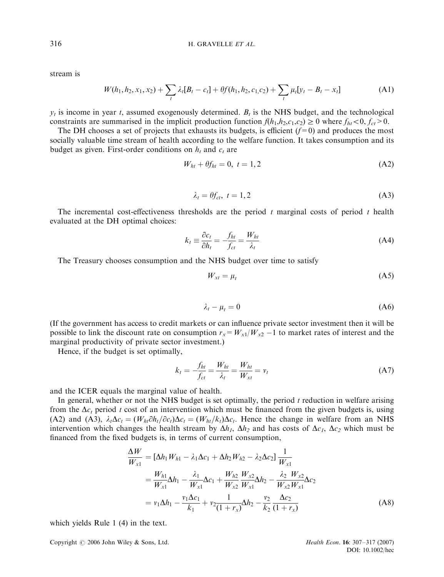stream is

$$
W(h_1, h_2, x_1, x_2) + \sum_{l} \lambda_l [B_l - c_l] + \theta f(h_1, h_2, c_1, c_2) + \sum_{l} \mu_l [y_l - B_l - x_l]
$$
(A1)

 $y_t$  is income in year t, assumed exogenously determined.  $B_t$  is the NHS budget, and the technological constraints are summarised in the implicit production function  $f(h_1,h_2,c_1,c_2) \ge 0$  where  $f_{ht} < 0$ ,  $f_{ct} > 0$ .

The DH chooses a set of projects that exhausts its budgets, is efficient  $(f=0)$  and produces the most socially valuable time stream of health according to the welfare function. It takes consumption and its budget as given. First-order conditions on  $h_t$  and  $c_t$  are

$$
W_{ht} + \theta f_{ht} = 0, \ t = 1, 2 \tag{A2}
$$

$$
\lambda_t = \theta f_{ct}, \ t = 1, 2 \tag{A3}
$$

The incremental cost-effectiveness thresholds are the period  $t$  marginal costs of period  $t$  health evaluated at the DH optimal choices:

$$
k_t \equiv \frac{\partial c_t}{\partial h_t} = \frac{f_{ht}}{f_{ct}} = \frac{W_{ht}}{\lambda_t}
$$
 (A4)

The Treasury chooses consumption and the NHS budget over time to satisfy

$$
W_{xt} = \mu_t \tag{A5}
$$

$$
\lambda_t - \mu_t = 0 \tag{A6}
$$

(If the government has access to credit markets or can influence private sector investment then it will be possible to link the discount rate on consumption  $r_x = W_{x1}/W_{x2} - 1$  to market rates of interest and the marginal productivity of private sector investment.)

Hence, if the budget is set optimally,

$$
k_t = -\frac{f_{ht}}{f_{ct}} = \frac{W_{ht}}{\lambda_t} = \frac{W_{ht}}{W_{xt}} = v_t
$$
\n(A7)

and the ICER equals the marginal value of health.

In general, whether or not the NHS budget is set optimally, the period  $t$  reduction in welfare arising from the  $\Delta c_t$  period t cost of an intervention which must be financed from the given budgets is, using (A2) and (A3),  $\lambda_i \Delta c_t = (W_{hi} \partial h_t / \partial c_t) \Delta c_t = (W_{hi}/k_t) \Delta c_t$ . Hence the change in welfare from an NHS intervention which changes the health stream by  $\Delta h_1$ ,  $\Delta h_2$  and has costs of  $\Delta c_1$ ,  $\Delta c_2$  which must be financed from the fixed budgets is, in terms of current consumption,

$$
\frac{\Delta W}{W_{x1}} = [\Delta h_1 W_{h1} - \lambda_1 \Delta c_1 + \Delta h_2 W_{h2} - \lambda_2 \Delta c_2] \frac{1}{W_{x1}}
$$
  
\n
$$
= \frac{W_{h1}}{W_{x1}} \Delta h_1 - \frac{\lambda_1}{W_{x1}} \Delta c_1 + \frac{W_{h2}}{W_{x2}} \frac{W_{x2}}{W_{x1}} \Delta h_2 - \frac{\lambda_2}{W_{x2}} \frac{W_{x2}}{W_{x1}} \Delta c_2
$$
  
\n
$$
= v_1 \Delta h_1 - \frac{v_1 \Delta c_1}{k_1} + v_2 \frac{1}{(1 + r_x)} \Delta h_2 - \frac{v_2}{k_2} \frac{\Delta c_2}{(1 + r_x)}
$$
(A8)

which yields Rule 1 (4) in the text.

Copyright  $\odot$  2006 John Wiley & Sons, Ltd. Health Econ. 16: 307–317 (2007)